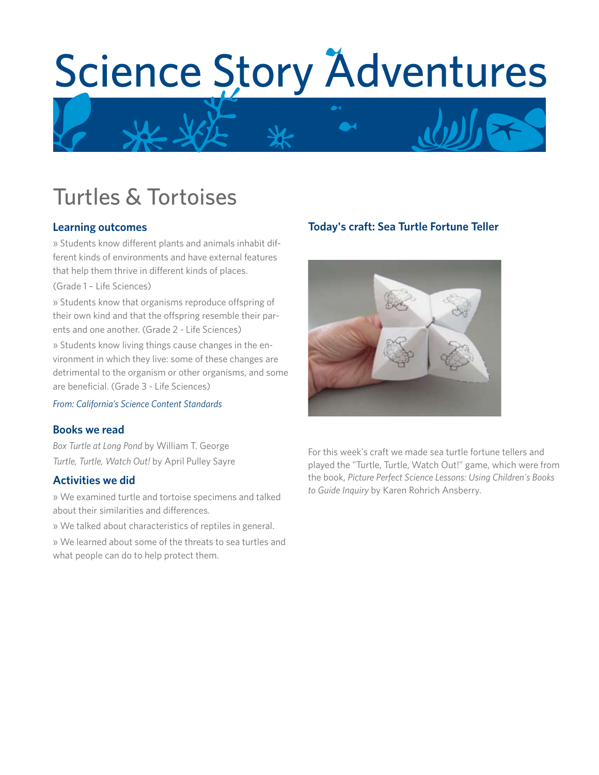# Science Story Adventures

# Turtles & Tortoises

# **Learning outcomes**

» Students know different plants and animals inhabit different kinds of environments and have external features that help them thrive in different kinds of places.

(Grade 1 – Life Sciences)

» Students know that organisms reproduce offspring of their own kind and that the offspring resemble their parents and one another. (Grade 2 - Life Sciences)

» Students know living things cause changes in the environment in which they live: some of these changes are detrimental to the organism or other organisms, and some are beneficial. (Grade 3 - Life Sciences)

*From: California's Science Content Standards*

# **Books we read**

*Box Turtle at Long Pond* by William T. George *Turtle, Turtle, Watch Out!* by April Pulley Sayre

#### **Activities we did**

» We examined turtle and tortoise specimens and talked about their similarities and differences.

» We talked about characteristics of reptiles in general.

» We learned about some of the threats to sea turtles and what people can do to help protect them.

# **Today's craft: Sea Turtle Fortune Teller**



For this week's craft we made sea turtle fortune tellers and played the "Turtle, Turtle, Watch Out!" game, which were from the book, *Picture Perfect Science Lessons: Using Children's Books to Guide Inquiry* by Karen Rohrich Ansberry.